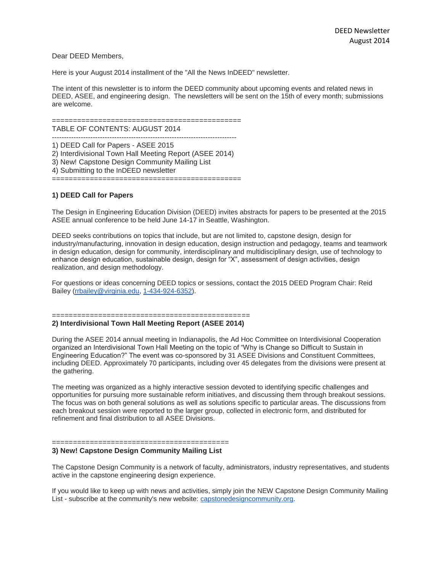### Dear DEED Members,

Here is your August 2014 installment of the "All the News InDEED" newsletter.

The intent of this newsletter is to inform the DEED community about upcoming events and related news in DEED, ASEE, and engineering design. The newsletters will be sent on the 15th of every month; submissions are welcome.

============================================= TABLE OF CONTENTS: AUGUST 2014 ----------------------------------------------------------------------------- 1) DEED Call for Papers - ASEE 2015 2) Interdivisional Town Hall Meeting Report (ASEE 2014) 3) New! Capstone Design Community Mailing List 4) Submitting to the InDEED newsletter =============================================

## **1) DEED Call for Papers**

The Design in Engineering Education Division (DEED) invites abstracts for papers to be presented at the 2015 ASEE annual conference to be held June 14-17 in Seattle, Washington.

DEED seeks contributions on topics that include, but are not limited to, capstone design, design for industry/manufacturing, innovation in design education, design instruction and pedagogy, teams and teamwork in design education, design for community, interdisciplinary and multidisciplinary design, use of technology to enhance design education, sustainable design, design for "X", assessment of design activities, design realization, and design methodology.

For questions or ideas concerning DEED topics or sessions, contact the 2015 DEED Program Chair: Reid Bailey [\(rrbailey@virginia.edu,](mailto:rrbailey@virginia.edu) [1-434-924-6352\)](tel:1-434-924-6352).

#### =============================================== **2) Interdivisional Town Hall Meeting Report (ASEE 2014)**

During the ASEE 2014 annual meeting in Indianapolis, the Ad Hoc Committee on Interdivisional Cooperation organized an Interdivisional Town Hall Meeting on the topic of "Why is Change so Difficult to Sustain in Engineering Education?" The event was co-sponsored by 31 ASEE Divisions and Constituent Committees, including DEED. Approximately 70 participants, including over 45 delegates from the divisions were present at the gathering.

The meeting was organized as a highly interactive session devoted to identifying specific challenges and opportunities for pursuing more sustainable reform initiatives, and discussing them through breakout sessions. The focus was on both general solutions as well as solutions specific to particular areas. The discussions from each breakout session were reported to the larger group, collected in electronic form, and distributed for refinement and final distribution to all ASEE Divisions.

# **3) New! Capstone Design Community Mailing List**

==========================================

The Capstone Design Community is a network of faculty, administrators, industry representatives, and students active in the capstone engineering design experience.

If you would like to keep up with news and activities, simply join the NEW Capstone Design Community Mailing List - subscribe at the community's new website: [capstonedesigncommunity.org.](http://capstonedesigncommunity.org/)